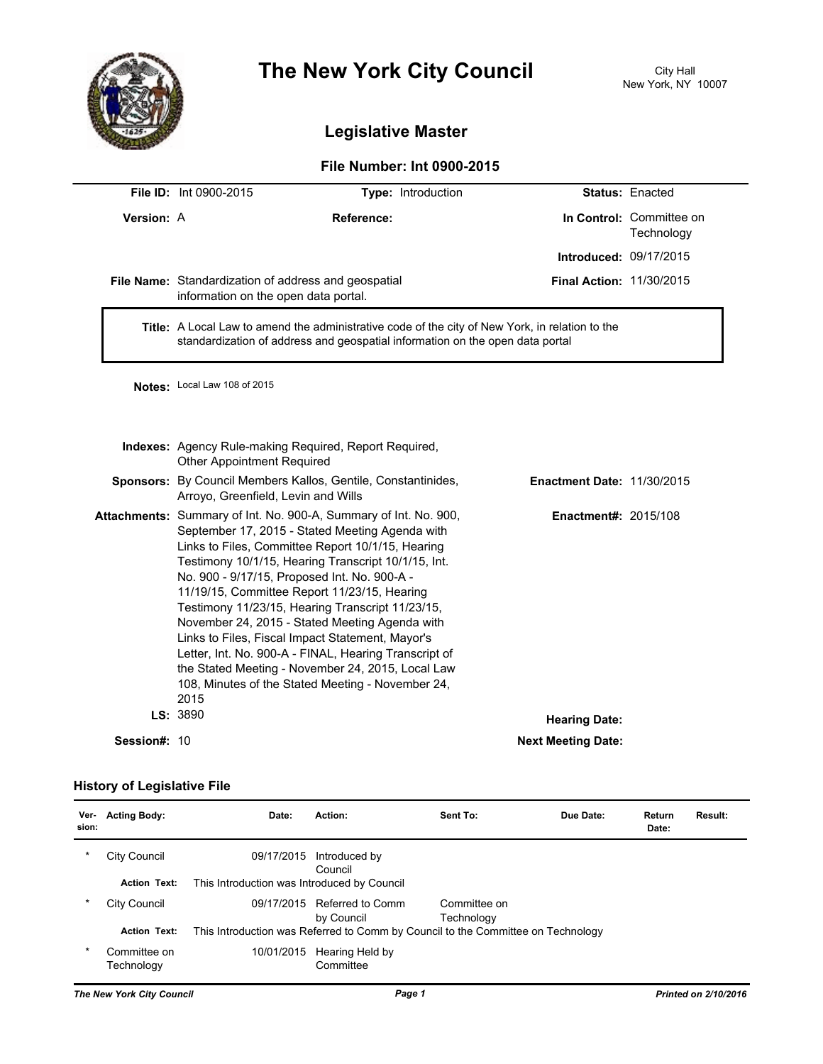

## **The New York City Council** City Hall

## **Legislative Master**

## **File Number: Int 0900-2015**

|              | <b>File ID: Int 0900-2015</b>                                                                                                                                                    | Type: Introduction                                                                                                                                                                                                                                                                                                                                                                                                                                                                                                                                                                                                                                           |                                   | <b>Status: Enacted</b>                 |  |
|--------------|----------------------------------------------------------------------------------------------------------------------------------------------------------------------------------|--------------------------------------------------------------------------------------------------------------------------------------------------------------------------------------------------------------------------------------------------------------------------------------------------------------------------------------------------------------------------------------------------------------------------------------------------------------------------------------------------------------------------------------------------------------------------------------------------------------------------------------------------------------|-----------------------------------|----------------------------------------|--|
| Version: A   |                                                                                                                                                                                  | Reference:                                                                                                                                                                                                                                                                                                                                                                                                                                                                                                                                                                                                                                                   |                                   | In Control: Committee on<br>Technology |  |
|              |                                                                                                                                                                                  |                                                                                                                                                                                                                                                                                                                                                                                                                                                                                                                                                                                                                                                              | Introduced: 09/17/2015            |                                        |  |
|              | File Name: Standardization of address and geospatial<br>information on the open data portal.                                                                                     |                                                                                                                                                                                                                                                                                                                                                                                                                                                                                                                                                                                                                                                              | <b>Final Action: 11/30/2015</b>   |                                        |  |
|              | Title: A Local Law to amend the administrative code of the city of New York, in relation to the<br>standardization of address and geospatial information on the open data portal |                                                                                                                                                                                                                                                                                                                                                                                                                                                                                                                                                                                                                                                              |                                   |                                        |  |
|              | Notes: Local Law 108 of 2015                                                                                                                                                     |                                                                                                                                                                                                                                                                                                                                                                                                                                                                                                                                                                                                                                                              |                                   |                                        |  |
|              | Indexes: Agency Rule-making Required, Report Required,<br><b>Other Appointment Required</b>                                                                                      |                                                                                                                                                                                                                                                                                                                                                                                                                                                                                                                                                                                                                                                              |                                   |                                        |  |
|              | Sponsors: By Council Members Kallos, Gentile, Constantinides,<br>Arroyo, Greenfield, Levin and Wills                                                                             |                                                                                                                                                                                                                                                                                                                                                                                                                                                                                                                                                                                                                                                              | <b>Enactment Date: 11/30/2015</b> |                                        |  |
|              | 2015<br>LS: 3890                                                                                                                                                                 | Attachments: Summary of Int. No. 900-A, Summary of Int. No. 900,<br>September 17, 2015 - Stated Meeting Agenda with<br>Links to Files, Committee Report 10/1/15, Hearing<br>Testimony 10/1/15, Hearing Transcript 10/1/15, Int.<br>No. 900 - 9/17/15, Proposed Int. No. 900-A -<br>11/19/15, Committee Report 11/23/15, Hearing<br>Testimony 11/23/15, Hearing Transcript 11/23/15,<br>November 24, 2015 - Stated Meeting Agenda with<br>Links to Files, Fiscal Impact Statement, Mayor's<br>Letter, Int. No. 900-A - FINAL, Hearing Transcript of<br>the Stated Meeting - November 24, 2015, Local Law<br>108, Minutes of the Stated Meeting - November 24, |                                   | <b>Enactment#: 2015/108</b>            |  |
|              |                                                                                                                                                                                  |                                                                                                                                                                                                                                                                                                                                                                                                                                                                                                                                                                                                                                                              | <b>Hearing Date:</b>              |                                        |  |
| Session#: 10 |                                                                                                                                                                                  |                                                                                                                                                                                                                                                                                                                                                                                                                                                                                                                                                                                                                                                              | <b>Next Meeting Date:</b>         |                                        |  |

## **History of Legislative File**

| Ver-<br>sion: | <b>Acting Body:</b>        | Date:                                       | Action:                                                                          | Sent To:                   | Due Date: | Return<br>Date: | Result: |
|---------------|----------------------------|---------------------------------------------|----------------------------------------------------------------------------------|----------------------------|-----------|-----------------|---------|
| *             | City Council               | 09/17/2015                                  | Introduced by<br>Council                                                         |                            |           |                 |         |
|               | <b>Action Text:</b>        | This Introduction was Introduced by Council |                                                                                  |                            |           |                 |         |
| $\ast$        | City Council               | 09/17/2015                                  | Referred to Comm<br>by Council                                                   | Committee on<br>Technology |           |                 |         |
|               | <b>Action Text:</b>        |                                             | This Introduction was Referred to Comm by Council to the Committee on Technology |                            |           |                 |         |
| $\ast$        | Committee on<br>Technology | 10/01/2015                                  | Hearing Held by<br>Committee                                                     |                            |           |                 |         |